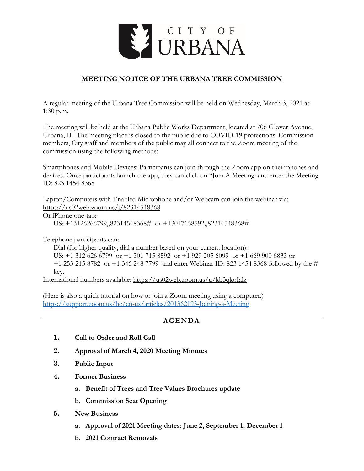

# **MEETING NOTICE OF THE URBANA TREE COMMISSION**

A regular meeting of the Urbana Tree Commission will be held on Wednesday, March 3, 2021 at 1:30 p.m.

The meeting will be held at the Urbana Public Works Department, located at 706 Glover Avenue, Urbana, IL. The meeting place is closed to the public due to COVID-19 protections. Commission members, City staff and members of the public may all connect to the Zoom meeting of the commission using the following methods:

Smartphones and Mobile Devices: Participants can join through the Zoom app on their phones and devices. Once participants launch the app, they can click on "Join A Meeting: and enter the Meeting ID: 823 1454 8368

Laptop/Computers with Enabled Microphone and/or Webcam can join the webinar via: <https://us02web.zoom.us/j/82314548368>

### Or iPhone one-tap:

US: +13126266799,,82314548368# or +13017158592,,82314548368#

Telephone participants can:

Dial (for higher quality, dial a number based on your current location):

US: +1 312 626 6799 or +1 301 715 8592 or +1 929 205 6099 or +1 669 900 6833 or +1 253 215 8782 or +1 346 248 7799 and enter Webinar ID: 823 1454 8368 followed by the # key.

International numbers available:<https://us02web.zoom.us/u/kb3qkoIalz>

(Here is also a quick tutorial on how to join a Zoom meeting using a computer.) <https://support.zoom.us/hc/en-us/articles/201362193-Joining-a-Meeting>

# **A G E N D A**

- **1. Call to Order and Roll Call**
- **2. Approval of March 4, 2020 Meeting Minutes**
- **3. Public Input**
- **4. Former Business**
	- **a. Benefit of Trees and Tree Values Brochures update**
	- **b. Commission Seat Opening**
- **5. New Business**
	- **a. Approval of 2021 Meeting dates: June 2, September 1, December 1**
	- **b. 2021 Contract Removals**